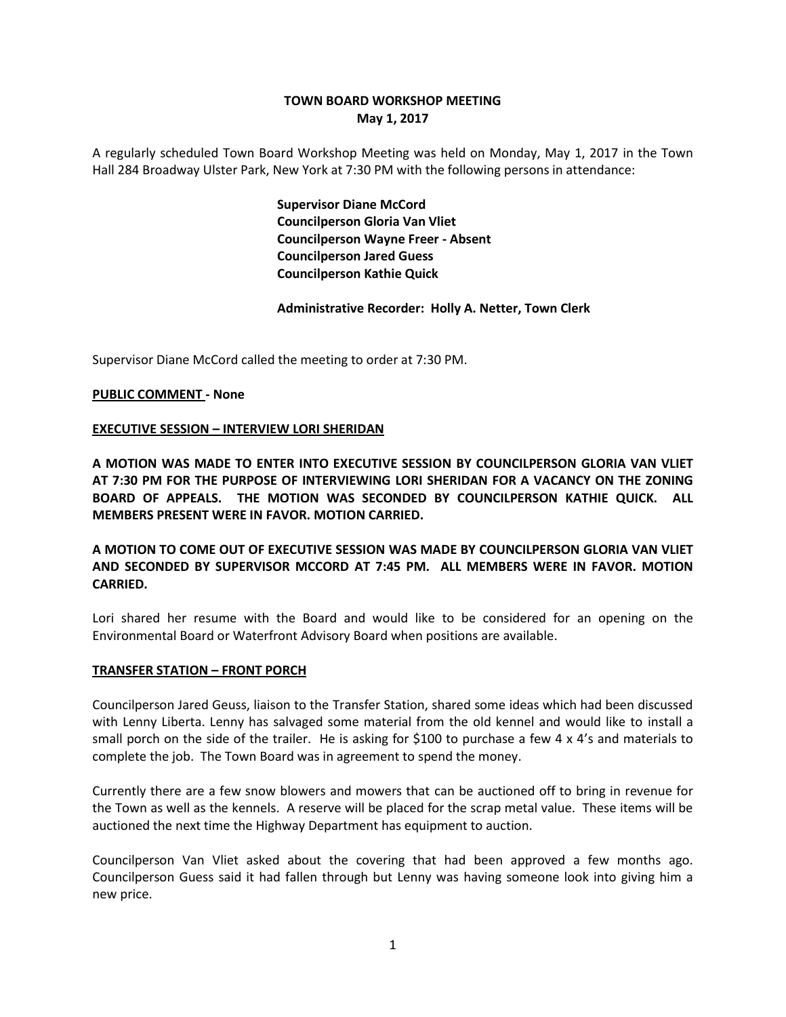# **TOWN BOARD WORKSHOP MEETING May 1, 2017**

A regularly scheduled Town Board Workshop Meeting was held on Monday, May 1, 2017 in the Town Hall 284 Broadway Ulster Park, New York at 7:30 PM with the following persons in attendance:

> **Supervisor Diane McCord Councilperson Gloria Van Vliet Councilperson Wayne Freer - Absent Councilperson Jared Guess Councilperson Kathie Quick**

**Administrative Recorder: Holly A. Netter, Town Clerk**

Supervisor Diane McCord called the meeting to order at 7:30 PM.

## **PUBLIC COMMENT - None**

## **EXECUTIVE SESSION – INTERVIEW LORI SHERIDAN**

**A MOTION WAS MADE TO ENTER INTO EXECUTIVE SESSION BY COUNCILPERSON GLORIA VAN VLIET AT 7:30 PM FOR THE PURPOSE OF INTERVIEWING LORI SHERIDAN FOR A VACANCY ON THE ZONING BOARD OF APPEALS. THE MOTION WAS SECONDED BY COUNCILPERSON KATHIE QUICK. ALL MEMBERS PRESENT WERE IN FAVOR. MOTION CARRIED.**

**A MOTION TO COME OUT OF EXECUTIVE SESSION WAS MADE BY COUNCILPERSON GLORIA VAN VLIET AND SECONDED BY SUPERVISOR MCCORD AT 7:45 PM. ALL MEMBERS WERE IN FAVOR. MOTION CARRIED.**

Lori shared her resume with the Board and would like to be considered for an opening on the Environmental Board or Waterfront Advisory Board when positions are available.

#### **TRANSFER STATION – FRONT PORCH**

Councilperson Jared Geuss, liaison to the Transfer Station, shared some ideas which had been discussed with Lenny Liberta. Lenny has salvaged some material from the old kennel and would like to install a small porch on the side of the trailer. He is asking for \$100 to purchase a few 4 x 4's and materials to complete the job. The Town Board was in agreement to spend the money.

Currently there are a few snow blowers and mowers that can be auctioned off to bring in revenue for the Town as well as the kennels. A reserve will be placed for the scrap metal value. These items will be auctioned the next time the Highway Department has equipment to auction.

Councilperson Van Vliet asked about the covering that had been approved a few months ago. Councilperson Guess said it had fallen through but Lenny was having someone look into giving him a new price.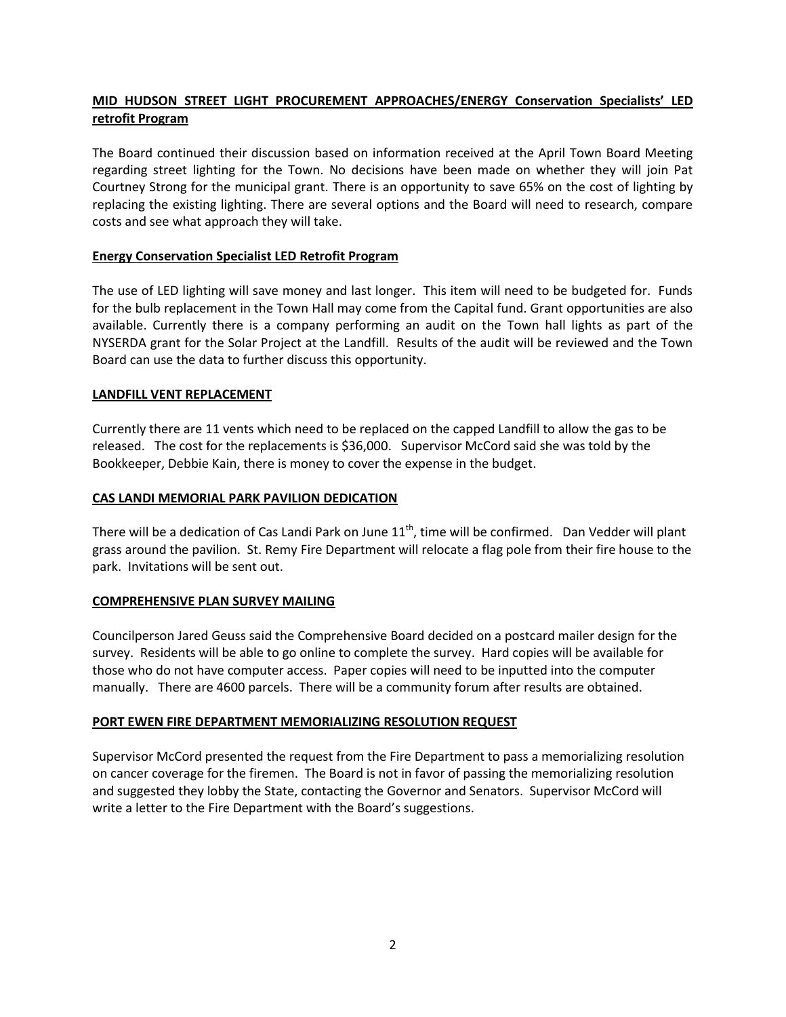# **MID HUDSON STREET LIGHT PROCUREMENT APPROACHES/ENERGY Conservation Specialists' LED retrofit Program**

The Board continued their discussion based on information received at the April Town Board Meeting regarding street lighting for the Town. No decisions have been made on whether they will join Pat Courtney Strong for the municipal grant. There is an opportunity to save 65% on the cost of lighting by replacing the existing lighting. There are several options and the Board will need to research, compare costs and see what approach they will take.

## **Energy Conservation Specialist LED Retrofit Program**

The use of LED lighting will save money and last longer. This item will need to be budgeted for. Funds for the bulb replacement in the Town Hall may come from the Capital fund. Grant opportunities are also available. Currently there is a company performing an audit on the Town hall lights as part of the NYSERDA grant for the Solar Project at the Landfill. Results of the audit will be reviewed and the Town Board can use the data to further discuss this opportunity.

## **LANDFILL VENT REPLACEMENT**

Currently there are 11 vents which need to be replaced on the capped Landfill to allow the gas to be released. The cost for the replacements is \$36,000. Supervisor McCord said she was told by the Bookkeeper, Debbie Kain, there is money to cover the expense in the budget.

## **CAS LANDI MEMORIAL PARK PAVILION DEDICATION**

There will be a dedication of Cas Landi Park on June  $11<sup>th</sup>$ , time will be confirmed. Dan Vedder will plant grass around the pavilion. St. Remy Fire Department will relocate a flag pole from their fire house to the park. Invitations will be sent out.

## **COMPREHENSIVE PLAN SURVEY MAILING**

Councilperson Jared Geuss said the Comprehensive Board decided on a postcard mailer design for the survey. Residents will be able to go online to complete the survey. Hard copies will be available for those who do not have computer access. Paper copies will need to be inputted into the computer manually. There are 4600 parcels. There will be a community forum after results are obtained.

#### **PORT EWEN FIRE DEPARTMENT MEMORIALIZING RESOLUTION REQUEST**

Supervisor McCord presented the request from the Fire Department to pass a memorializing resolution on cancer coverage for the firemen. The Board is not in favor of passing the memorializing resolution and suggested they lobby the State, contacting the Governor and Senators. Supervisor McCord will write a letter to the Fire Department with the Board's suggestions.